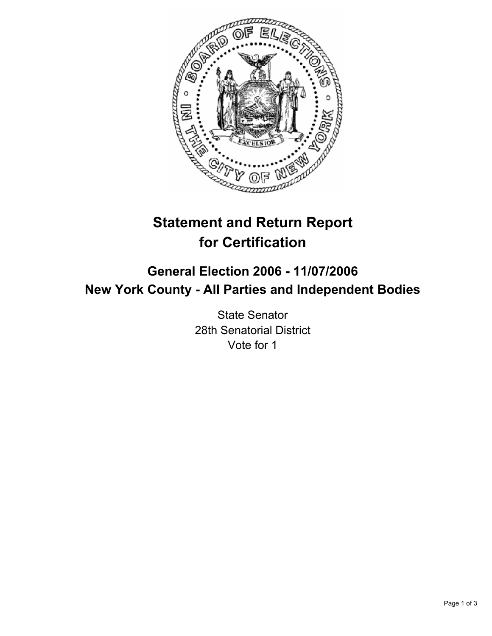

# **Statement and Return Report for Certification**

# **General Election 2006 - 11/07/2006 New York County - All Parties and Independent Bodies**

State Senator 28th Senatorial District Vote for 1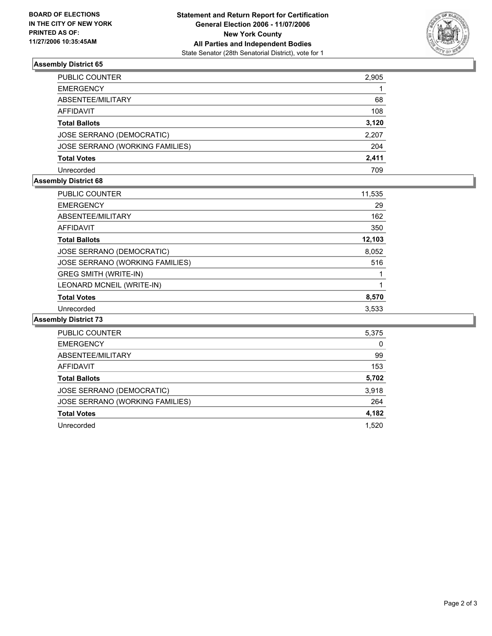

# **Assembly District 65**

| PUBLIC COUNTER                  | 2,905 |
|---------------------------------|-------|
| <b>EMERGENCY</b>                |       |
| ABSENTEE/MILITARY               | 68    |
| AFFIDAVIT                       | 108   |
| <b>Total Ballots</b>            | 3,120 |
| JOSE SERRANO (DEMOCRATIC)       | 2,207 |
| JOSE SERRANO (WORKING FAMILIES) | 204   |
| <b>Total Votes</b>              | 2,411 |
| Unrecorded                      | 709   |

# **Assembly District 68**

| <b>PUBLIC COUNTER</b>           | 11,535 |  |
|---------------------------------|--------|--|
| <b>EMERGENCY</b>                | 29     |  |
| ABSENTEE/MILITARY               | 162    |  |
| AFFIDAVIT                       | 350    |  |
| <b>Total Ballots</b>            | 12,103 |  |
| JOSE SERRANO (DEMOCRATIC)       | 8,052  |  |
| JOSE SERRANO (WORKING FAMILIES) | 516    |  |
| <b>GREG SMITH (WRITE-IN)</b>    |        |  |
| LEONARD MCNEIL (WRITE-IN)       |        |  |
| <b>Total Votes</b>              | 8,570  |  |
| Unrecorded                      | 3.533  |  |

### **Assembly District 73**

| <b>PUBLIC COUNTER</b>           | 5,375 |
|---------------------------------|-------|
| <b>EMERGENCY</b>                | 0     |
| ABSENTEE/MILITARY               | 99    |
| <b>AFFIDAVIT</b>                | 153   |
| <b>Total Ballots</b>            | 5,702 |
| JOSE SERRANO (DEMOCRATIC)       | 3,918 |
| JOSE SERRANO (WORKING FAMILIES) | 264   |
| <b>Total Votes</b>              | 4,182 |
| Unrecorded                      | 1,520 |